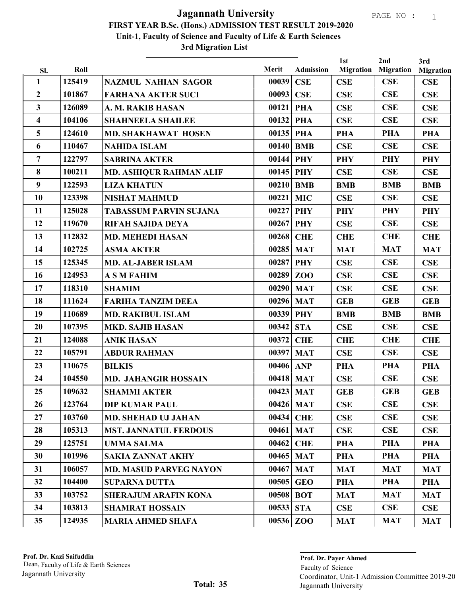| Sl.                     | Roll   |                                | Merit       | <b>Admission</b> | 1st<br><b>Migration</b> | 2nd<br><b>Migration</b> | 3rd<br><b>Migration</b> |
|-------------------------|--------|--------------------------------|-------------|------------------|-------------------------|-------------------------|-------------------------|
| 1                       | 125419 | <b>NAZMUL NAHIAN SAGOR</b>     | 00039       | CSE              | <b>CSE</b>              | CSE                     | CSE                     |
| $\overline{2}$          | 101867 | <b>FARHANA AKTER SUCI</b>      | 00093       | CSE              | CSE                     | CSE                     | <b>CSE</b>              |
| $\mathbf{3}$            | 126089 | A. M. RAKIB HASAN              | 00121       | <b>PHA</b>       | CSE                     | CSE                     | <b>CSE</b>              |
| $\overline{\mathbf{4}}$ | 104106 | <b>SHAHNEELA SHAILEE</b>       | 00132       | <b>PHA</b>       | CSE                     | <b>CSE</b>              | <b>CSE</b>              |
| 5                       | 124610 | <b>MD. SHAKHAWAT HOSEN</b>     | 00135   PHA |                  | <b>PHA</b>              | <b>PHA</b>              | <b>PHA</b>              |
| 6                       | 110467 | <b>NAHIDA ISLAM</b>            | 00140       | <b>BMB</b>       | CSE                     | <b>CSE</b>              | CSE                     |
| $\overline{7}$          | 122797 | <b>SABRINA AKTER</b>           | 00144       | <b>PHY</b>       | <b>PHY</b>              | <b>PHY</b>              | <b>PHY</b>              |
| 8                       | 100211 | <b>MD. ASHIQUR RAHMAN ALIF</b> | 00145       | <b>PHY</b>       | CSE                     | <b>CSE</b>              | CSE                     |
| 9                       | 122593 | <b>LIZA KHATUN</b>             | 00210       | <b>BMB</b>       | <b>BMB</b>              | <b>BMB</b>              | <b>BMB</b>              |
| 10                      | 123398 | <b>NISHAT MAHMUD</b>           | 00221       | <b>MIC</b>       | CSE                     | CSE                     | <b>CSE</b>              |
| 11                      | 125028 | <b>TABASSUM PARVIN SUJANA</b>  | 00227       | <b>PHY</b>       | <b>PHY</b>              | <b>PHY</b>              | <b>PHY</b>              |
| 12                      | 119670 | <b>RIFAH SAJIDA DEYA</b>       | 00267       | PHY              | CSE                     | CSE                     | CSE                     |
| 13                      | 112832 | <b>MD. MEHEDI HASAN</b>        | 00268       | <b>CHE</b>       | <b>CHE</b>              | <b>CHE</b>              | <b>CHE</b>              |
| 14                      | 102725 | <b>ASMA AKTER</b>              | 00285       | <b>MAT</b>       | <b>MAT</b>              | <b>MAT</b>              | <b>MAT</b>              |
| 15                      | 125345 | <b>MD. AL-JABER ISLAM</b>      | 00287       | <b>PHY</b>       | CSE                     | <b>CSE</b>              | CSE                     |
| 16                      | 124953 | <b>A S M FAHIM</b>             | 00289       | ZOO              | CSE                     | CSE                     | <b>CSE</b>              |
| 17                      | 118310 | <b>SHAMIM</b>                  | 00290       | <b>MAT</b>       | CSE                     | CSE                     | <b>CSE</b>              |
| 18                      | 111624 | <b>FARIHA TANZIM DEEA</b>      | 00296       | <b>MAT</b>       | <b>GEB</b>              | <b>GEB</b>              | <b>GEB</b>              |
| 19                      | 110689 | <b>MD. RAKIBUL ISLAM</b>       | 00339   PHY |                  | <b>BMB</b>              | <b>BMB</b>              | <b>BMB</b>              |
| 20                      | 107395 | <b>MKD. SAJIB HASAN</b>        | 00342       | <b>STA</b>       | CSE                     | <b>CSE</b>              | <b>CSE</b>              |
| 21                      | 124088 | <b>ANIK HASAN</b>              | 00372       | <b>CHE</b>       | <b>CHE</b>              | <b>CHE</b>              | <b>CHE</b>              |
| 22                      | 105791 | <b>ABDUR RAHMAN</b>            | 00397       | <b>MAT</b>       | CSE                     | <b>CSE</b>              | CSE                     |
| 23                      | 110675 | <b>BILKIS</b>                  | $00406$ ANP |                  | <b>PHA</b>              | <b>PHA</b>              | <b>PHA</b>              |
| 24                      | 104550 | <b>MD. JAHANGIR HOSSAIN</b>    | 00418 MAT   |                  | CSE                     | CSE                     | <b>CSE</b>              |
| 25                      | 109632 | <b>SHAMMI AKTER</b>            | 00423   MAT |                  | <b>GEB</b>              | <b>GEB</b>              | <b>GEB</b>              |
| 26                      | 123764 | <b>DIP KUMAR PAUL</b>          | 00426   MAT |                  | <b>CSE</b>              | CSE                     | <b>CSE</b>              |
| 27                      | 103760 | <b>MD. SHEHAD UJ JAHAN</b>     | 00434 CHE   |                  | CSE                     | CSE                     | CSE                     |
| 28                      | 105313 | <b>MST. JANNATUL FERDOUS</b>   | 00461       | <b>MAT</b>       | <b>CSE</b>              | CSE                     | CSE                     |
| 29                      | 125751 | <b>UMMA SALMA</b>              | 00462       | <b>CHE</b>       | <b>PHA</b>              | <b>PHA</b>              | PHA                     |
| 30                      | 101996 | <b>SAKIA ZANNAT AKHY</b>       | 00465   MAT |                  | <b>PHA</b>              | <b>PHA</b>              | <b>PHA</b>              |
| 31                      | 106057 | <b>MD. MASUD PARVEG NAYON</b>  | 00467   MAT |                  | <b>MAT</b>              | <b>MAT</b>              | <b>MAT</b>              |
| 32                      | 104400 | <b>SUPARNA DUTTA</b>           | 00505 GEO   |                  | <b>PHA</b>              | <b>PHA</b>              | <b>PHA</b>              |
| 33                      | 103752 | <b>SHERAJUM ARAFIN KONA</b>    | 00508   BOT |                  | <b>MAT</b>              | <b>MAT</b>              | <b>MAT</b>              |
| 34                      | 103813 | <b>SHAMRAT HOSSAIN</b>         | 00533   STA |                  | CSE                     | <b>CSE</b>              | <b>CSE</b>              |
| 35                      | 124935 | <b>MARIA AHMED SHAFA</b>       | $00536$ ZOO |                  | <b>MAT</b>              | <b>MAT</b>              | <b>MAT</b>              |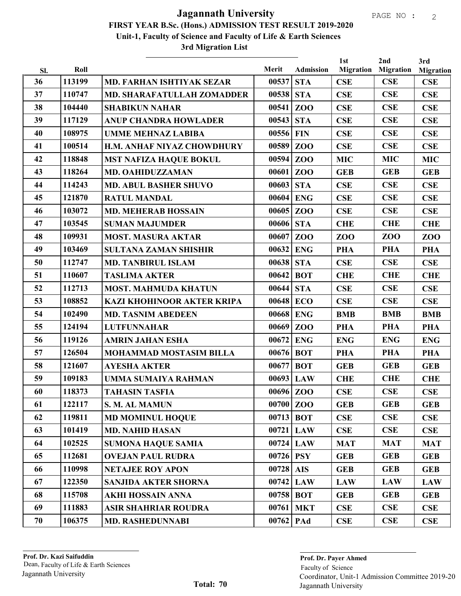| Sl. | Roll   |                                   | Merit       | <b>Admission</b> | 1st<br><b>Migration</b> | 2nd<br><b>Migration</b> | 3rd<br><b>Migration</b> |
|-----|--------|-----------------------------------|-------------|------------------|-------------------------|-------------------------|-------------------------|
| 36  | 113199 | <b>MD. FARHAN ISHTIYAK SEZAR</b>  | 00537       | <b>STA</b>       | CSE                     | <b>CSE</b>              | CSE                     |
| 37  | 110747 | MD. SHARAFATULLAH ZOMADDER        | 00538       | <b>STA</b>       | CSE                     | <b>CSE</b>              | <b>CSE</b>              |
| 38  | 104440 | <b>SHABIKUN NAHAR</b>             | 00541       | ZO <sub>O</sub>  | <b>CSE</b>              | <b>CSE</b>              | CSE                     |
| 39  | 117129 | <b>ANUP CHANDRA HOWLADER</b>      | 00543       | <b>STA</b>       | CSE                     | <b>CSE</b>              | CSE                     |
| 40  | 108975 | <b>UMME MEHNAZ LABIBA</b>         | 00556       | <b>FIN</b>       | <b>CSE</b>              | <b>CSE</b>              | CSE                     |
| 41  | 100514 | H.M. ANHAF NIYAZ CHOWDHURY        | 00589       | ZO <sub>O</sub>  | CSE                     | CSE                     | <b>CSE</b>              |
| 42  | 118848 | <b>MST NAFIZA HAQUE BOKUL</b>     | 00594       | ZO <sub>O</sub>  | <b>MIC</b>              | <b>MIC</b>              | <b>MIC</b>              |
| 43  | 118264 | <b>MD. OAHIDUZZAMAN</b>           | 00601       | ZOO              | <b>GEB</b>              | <b>GEB</b>              | <b>GEB</b>              |
| 44  | 114243 | <b>MD. ABUL BASHER SHUVO</b>      | 00603       | <b>STA</b>       | CSE                     | <b>CSE</b>              | <b>CSE</b>              |
| 45  | 121870 | <b>RATUL MANDAL</b>               | 00604       | <b>ENG</b>       | CSE                     | <b>CSE</b>              | CSE                     |
| 46  | 103072 | <b>MD. MEHERAB HOSSAIN</b>        | 00605       | Z <sub>0</sub>   | CSE                     | <b>CSE</b>              | CSE                     |
| 47  | 103545 | <b>SUMAN MAJUMDER</b>             | 00606       | <b>STA</b>       | <b>CHE</b>              | <b>CHE</b>              | <b>CHE</b>              |
| 48  | 109931 | <b>MOST. MASURA AKTAR</b>         | 00607       | ZO <sub>O</sub>  | ZO <sub>O</sub>         | <b>ZOO</b>              | ZOO                     |
| 49  | 103469 | <b>SULTANA ZAMAN SHISHIR</b>      | 00632       | <b>ENG</b>       | <b>PHA</b>              | <b>PHA</b>              | <b>PHA</b>              |
| 50  | 112747 | <b>MD. TANBIRUL ISLAM</b>         | 00638 STA   |                  | CSE                     | CSE                     | <b>CSE</b>              |
| 51  | 110607 | <b>TASLIMA AKTER</b>              | 00642       | <b>BOT</b>       | <b>CHE</b>              | <b>CHE</b>              | <b>CHE</b>              |
| 52  | 112713 | <b>MOST. MAHMUDA KHATUN</b>       | 00644       | <b>STA</b>       | CSE                     | <b>CSE</b>              | CSE                     |
| 53  | 108852 | <b>KAZI KHOHINOOR AKTER KRIPA</b> | 00648 ECO   |                  | CSE                     | <b>CSE</b>              | <b>CSE</b>              |
| 54  | 102490 | <b>MD. TASNIM ABEDEEN</b>         | 00668       | <b>ENG</b>       | <b>BMB</b>              | <b>BMB</b>              | <b>BMB</b>              |
| 55  | 124194 | <b>LUTFUNNAHAR</b>                | 00669       | ZO <sub>O</sub>  | <b>PHA</b>              | <b>PHA</b>              | <b>PHA</b>              |
| 56  | 119126 | <b>AMRIN JAHAN ESHA</b>           | 00672       | <b>ENG</b>       | <b>ENG</b>              | <b>ENG</b>              | <b>ENG</b>              |
| 57  | 126504 | <b>MOHAMMAD MOSTASIM BILLA</b>    | 00676       | <b>BOT</b>       | <b>PHA</b>              | <b>PHA</b>              | <b>PHA</b>              |
| 58  | 121607 | <b>AYESHA AKTER</b>               | 00677       | <b>BOT</b>       | <b>GEB</b>              | <b>GEB</b>              | <b>GEB</b>              |
| 59  | 109183 | UMMA SUMAIYA RAHMAN               | 00693 LAW   |                  | <b>CHE</b>              | <b>CHE</b>              | <b>CHE</b>              |
| 60  | 118373 | <b>TAHASIN TASFIA</b>             | 00696 ZOO   |                  | CSE                     | <b>CSE</b>              | CSE                     |
| 61  | 122117 | S. M. AL MAMUN                    | $00700$ ZOO |                  | <b>GEB</b>              | <b>GEB</b>              | <b>GEB</b>              |
| 62  | 119811 | <b>MD MOMINUL HOQUE</b>           | $00713$ BOT |                  | CSE                     | CSE                     | <b>CSE</b>              |
| 63  | 101419 | <b>MD. NAHID HASAN</b>            |             | $00721$ LAW      | CSE                     | CSE                     | <b>CSE</b>              |
| 64  | 102525 | <b>SUMONA HAQUE SAMIA</b>         |             | 00724 LAW        | <b>MAT</b>              | <b>MAT</b>              | <b>MAT</b>              |
| 65  | 112681 | <b>OVEJAN PAUL RUDRA</b>          | 00726   PSY |                  | <b>GEB</b>              | <b>GEB</b>              | <b>GEB</b>              |
| 66  | 110998 | <b>NETAJEE ROY APON</b>           | $00728$ AIS |                  | <b>GEB</b>              | <b>GEB</b>              | <b>GEB</b>              |
| 67  | 122350 | <b>SANJIDA AKTER SHORNA</b>       |             | 00742 LAW        | <b>LAW</b>              | <b>LAW</b>              | <b>LAW</b>              |
| 68  | 115708 | <b>AKHI HOSSAIN ANNA</b>          | 00758   BOT |                  | <b>GEB</b>              | <b>GEB</b>              | <b>GEB</b>              |
| 69  | 111883 | <b>ASIR SHAHRIAR ROUDRA</b>       | 00761       | <b>MKT</b>       | <b>CSE</b>              | CSE                     | <b>CSE</b>              |
| 70  | 106375 | <b>MD. RASHEDUNNABI</b>           | 00762       | PAd              | CSE                     | CSE                     | CSE                     |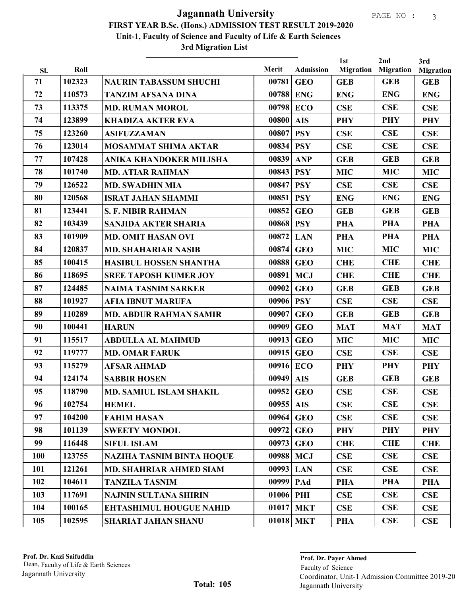| Sl.        | Roll   |                                  | Merit         | <b>Admission</b> | 1st<br><b>Migration</b> | 2nd<br><b>Migration</b> | 3rd<br><b>Migration</b> |
|------------|--------|----------------------------------|---------------|------------------|-------------------------|-------------------------|-------------------------|
| 71         | 102323 | <b>NAURIN TABASSUM SHUCHI</b>    | 00781         | <b>GEO</b>       | <b>GEB</b>              | <b>GEB</b>              | <b>GEB</b>              |
| 72         | 110573 | <b>TANZIM AFSANA DINA</b>        | 00788         | <b>ENG</b>       | <b>ENG</b>              | <b>ENG</b>              | <b>ENG</b>              |
| 73         | 113375 | <b>MD. RUMAN MOROL</b>           | 00798         | <b>ECO</b>       | CSE                     | <b>CSE</b>              | <b>CSE</b>              |
| 74         | 123899 | <b>KHADIZA AKTER EVA</b>         | 00800         | <b>AIS</b>       | <b>PHY</b>              | <b>PHY</b>              | <b>PHY</b>              |
| 75         | 123260 | <b>ASIFUZZAMAN</b>               | 00807         | <b>PSY</b>       | <b>CSE</b>              | CSE                     | CSE                     |
| 76         | 123014 | <b>MOSAMMAT SHIMA AKTAR</b>      | 00834         | <b>PSY</b>       | CSE                     | CSE                     | CSE                     |
| 77         | 107428 | ANIKA KHANDOKER MILISHA          | 00839         | <b>ANP</b>       | <b>GEB</b>              | <b>GEB</b>              | <b>GEB</b>              |
| 78         | 101740 | <b>MD. ATIAR RAHMAN</b>          | 00843   PSY   |                  | <b>MIC</b>              | <b>MIC</b>              | <b>MIC</b>              |
| 79         | 126522 | <b>MD. SWADHIN MIA</b>           | 00847         | <b>PSY</b>       | CSE                     | CSE                     | <b>CSE</b>              |
| 80         | 120568 | <b>ISRAT JAHAN SHAMMI</b>        | 00851         | <b>PSY</b>       | <b>ENG</b>              | <b>ENG</b>              | <b>ENG</b>              |
| 81         | 123441 | <b>S. F. NIBIR RAHMAN</b>        | 00852         | <b>GEO</b>       | <b>GEB</b>              | <b>GEB</b>              | <b>GEB</b>              |
| 82         | 103439 | <b>SANJIDA AKTER SHARIA</b>      | 00868         | <b>PSY</b>       | <b>PHA</b>              | <b>PHA</b>              | <b>PHA</b>              |
| 83         | 101909 | <b>MD. OMIT HASAN OVI</b>        | 00872         | <b>LAN</b>       | <b>PHA</b>              | <b>PHA</b>              | <b>PHA</b>              |
| 84         | 120837 | <b>MD. SHAHARIAR NASIB</b>       | 00874         | <b>GEO</b>       | <b>MIC</b>              | <b>MIC</b>              | <b>MIC</b>              |
| 85         | 100415 | <b>HASIBUL HOSSEN SHANTHA</b>    | 00888         | <b>GEO</b>       | <b>CHE</b>              | <b>CHE</b>              | <b>CHE</b>              |
| 86         | 118695 | <b>SREE TAPOSH KUMER JOY</b>     | 00891         | <b>MCJ</b>       | <b>CHE</b>              | <b>CHE</b>              | <b>CHE</b>              |
| 87         | 124485 | <b>NAIMA TASNIM SARKER</b>       | 00902         | <b>GEO</b>       | <b>GEB</b>              | <b>GEB</b>              | <b>GEB</b>              |
| 88         | 101927 | <b>AFIA IBNUT MARUFA</b>         | 00906         | <b>PSY</b>       | CSE                     | CSE                     | <b>CSE</b>              |
| 89         | 110289 | <b>MD. ABDUR RAHMAN SAMIR</b>    | 00907         | <b>GEO</b>       | <b>GEB</b>              | <b>GEB</b>              | <b>GEB</b>              |
| 90         | 100441 | <b>HARUN</b>                     | 00909         | <b>GEO</b>       | <b>MAT</b>              | <b>MAT</b>              | <b>MAT</b>              |
| 91         | 115517 | <b>ABDULLA AL MAHMUD</b>         | 00913         | <b>GEO</b>       | <b>MIC</b>              | <b>MIC</b>              | <b>MIC</b>              |
| 92         | 119777 | <b>MD. OMAR FARUK</b>            | 00915         | <b>GEO</b>       | <b>CSE</b>              | CSE                     | <b>CSE</b>              |
| 93         | 115279 | <b>AFSAR AHMAD</b>               | 00916         | <b>ECO</b>       | <b>PHY</b>              | <b>PHY</b>              | <b>PHY</b>              |
| 94         | 124174 | <b>SABBIR HOSEN</b>              | 00949         | <b>AIS</b>       | <b>GEB</b>              | <b>GEB</b>              | <b>GEB</b>              |
| 95         | 118790 | <b>MD. SAMIUL ISLAM SHAKIL</b>   | 00952 GEO     |                  | <b>CSE</b>              | <b>CSE</b>              | <b>CSE</b>              |
| 96         | 102754 | <b>HEMEL</b>                     | $00955$ AIS   |                  | CSE                     | <b>CSE</b>              | <b>CSE</b>              |
| 97         | 104200 | <b>FAHIM HASAN</b>               | 00964         | <b>GEO</b>       | <b>CSE</b>              | CSE                     | <b>CSE</b>              |
| 98         | 101139 | <b>SWEETY MONDOL</b>             | 00972         | <b>GEO</b>       | <b>PHY</b>              | <b>PHY</b>              | <b>PHY</b>              |
| 99         | 116448 | <b>SIFUL ISLAM</b>               | 00973         | <b>GEO</b>       | <b>CHE</b>              | <b>CHE</b>              | <b>CHE</b>              |
| <b>100</b> | 123755 | <b>NAZIHA TASNIM BINTA HOQUE</b> | 00988   MCJ   |                  | CSE                     | <b>CSE</b>              | <b>CSE</b>              |
| 101        | 121261 | <b>MD. SHAHRIAR AHMED SIAM</b>   | 00993 LAN     |                  | CSE                     | <b>CSE</b>              | <b>CSE</b>              |
| 102        | 104611 | <b>TANZILA TASNIM</b>            | $00999$   PAd |                  | <b>PHA</b>              | <b>PHA</b>              | <b>PHA</b>              |
| 103        | 117691 | <b>NAJNIN SULTANA SHIRIN</b>     | $01006$ PHI   |                  | CSE                     | CSE                     | <b>CSE</b>              |
| 104        | 100165 | <b>EHTASHIMUL HOUGUE NAHID</b>   |               | $01017$ MKT      | CSE                     | CSE                     | <b>CSE</b>              |
| 105        | 102595 | <b>SHARIAT JAHAN SHANU</b>       |               | $01018$ MKT      | <b>PHA</b>              | CSE                     | <b>CSE</b>              |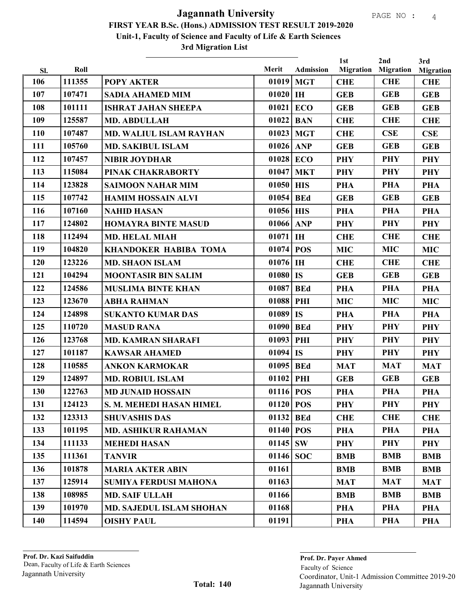| SI. | Roll   |                                 | Merit         | <b>Admission</b>       | 1st<br><b>Migration</b> | 2nd<br><b>Migration</b> | 3rd<br><b>Migration</b> |
|-----|--------|---------------------------------|---------------|------------------------|-------------------------|-------------------------|-------------------------|
| 106 | 111355 | <b>POPY AKTER</b>               | 01019         | <b>MGT</b>             | <b>CHE</b>              | <b>CHE</b>              | <b>CHE</b>              |
| 107 | 107471 | <b>SADIA AHAMED MIM</b>         | $01020$ IH    |                        | <b>GEB</b>              | <b>GEB</b>              | <b>GEB</b>              |
| 108 | 101111 | <b>ISHRAT JAHAN SHEEPA</b>      | 01021         | <b>ECO</b>             | <b>GEB</b>              | <b>GEB</b>              | <b>GEB</b>              |
| 109 | 125587 | <b>MD. ABDULLAH</b>             | 01022         | <b>BAN</b>             | <b>CHE</b>              | <b>CHE</b>              | <b>CHE</b>              |
| 110 | 107487 | <b>MD. WALIUL ISLAM RAYHAN</b>  | 01023         | <b>MGT</b>             | <b>CHE</b>              | CSE                     | <b>CSE</b>              |
| 111 | 105760 | <b>MD. SAKIBUL ISLAM</b>        | 01026         | <b>ANP</b>             | <b>GEB</b>              | <b>GEB</b>              | <b>GEB</b>              |
| 112 | 107457 | <b>NIBIR JOYDHAR</b>            | 01028 ECO     |                        | <b>PHY</b>              | <b>PHY</b>              | <b>PHY</b>              |
| 113 | 115084 | PINAK CHAKRABORTY               | 01047         | <b>MKT</b>             | <b>PHY</b>              | <b>PHY</b>              | <b>PHY</b>              |
| 114 | 123828 | <b>SAIMOON NAHAR MIM</b>        | 01050         | <b>HIS</b>             | <b>PHA</b>              | <b>PHA</b>              | <b>PHA</b>              |
| 115 | 107742 | <b>HAMIM HOSSAIN ALVI</b>       | 01054         | <b>BEd</b>             | <b>GEB</b>              | <b>GEB</b>              | <b>GEB</b>              |
| 116 | 107160 | <b>NAHID HASAN</b>              | 01056 HIS     |                        | <b>PHA</b>              | <b>PHA</b>              | <b>PHA</b>              |
| 117 | 124802 | <b>HOMAYRA BINTE MASUD</b>      | $01066$ ANP   |                        | <b>PHY</b>              | <b>PHY</b>              | <b>PHY</b>              |
| 118 | 112494 | <b>MD. HELAL MIAH</b>           | 01071         | $\mathbf{I}\mathbf{H}$ | <b>CHE</b>              | <b>CHE</b>              | <b>CHE</b>              |
| 119 | 104820 | <b>KHANDOKER HABIBA TOMA</b>    | $01074$ POS   |                        | <b>MIC</b>              | <b>MIC</b>              | <b>MIC</b>              |
| 120 | 123226 | <b>MD. SHAON ISLAM</b>          | $01076$ IH    |                        | <b>CHE</b>              | <b>CHE</b>              | <b>CHE</b>              |
| 121 | 104294 | <b>MOONTASIR BIN SALIM</b>      | $01080$   IS  |                        | <b>GEB</b>              | <b>GEB</b>              | <b>GEB</b>              |
| 122 | 124586 | <b>MUSLIMA BINTE KHAN</b>       | 01087   BEd   |                        | <b>PHA</b>              | <b>PHA</b>              | <b>PHA</b>              |
| 123 | 123670 | <b>ABHA RAHMAN</b>              | 01088         | PHI                    | <b>MIC</b>              | <b>MIC</b>              | <b>MIC</b>              |
| 124 | 124898 | <b>SUKANTO KUMAR DAS</b>        | $01089$ IS    |                        | <b>PHA</b>              | <b>PHA</b>              | <b>PHA</b>              |
| 125 | 110720 | <b>MASUD RANA</b>               | 01090         | <b>BEd</b>             | <b>PHY</b>              | <b>PHY</b>              | <b>PHY</b>              |
| 126 | 123768 | <b>MD. KAMRAN SHARAFI</b>       | $01093$ PHI   |                        | <b>PHY</b>              | <b>PHY</b>              | <b>PHY</b>              |
| 127 | 101187 | <b>KAWSAR AHAMED</b>            | $01094$ IS    |                        | <b>PHY</b>              | <b>PHY</b>              | <b>PHY</b>              |
| 128 | 110585 | <b>ANKON KARMOKAR</b>           | 01095         | <b>BEd</b>             | <b>MAT</b>              | <b>MAT</b>              | <b>MAT</b>              |
| 129 | 124897 | <b>MD. ROBIUL ISLAM</b>         | 01102         | PHI                    | <b>GEB</b>              | <b>GEB</b>              | <b>GEB</b>              |
| 130 | 122763 | <b>MD JUNAID HOSSAIN</b>        | $01116$ POS   |                        | <b>PHA</b>              | <b>PHA</b>              | <b>PHA</b>              |
| 131 | 124123 | S. M. MEHEDI HASAN HIMEL        | 01120   $POS$ |                        | <b>PHY</b>              | <b>PHY</b>              | <b>PHY</b>              |
| 132 | 123313 | <b>SHUVASHIS DAS</b>            | $01132$ BEd   |                        | <b>CHE</b>              | <b>CHE</b>              | <b>CHE</b>              |
| 133 | 101195 | <b>MD. ASHIKUR RAHAMAN</b>      | $01140$ POS   |                        | <b>PHA</b>              | <b>PHA</b>              | <b>PHA</b>              |
| 134 | 111133 | <b>MEHEDI HASAN</b>             | $01145$ SW    |                        | <b>PHY</b>              | <b>PHY</b>              | <b>PHY</b>              |
| 135 | 111361 | <b>TANVIR</b>                   | 01146   SOC   |                        | <b>BMB</b>              | <b>BMB</b>              | <b>BMB</b>              |
| 136 | 101878 | <b>MARIA AKTER ABIN</b>         | 01161         |                        | <b>BMB</b>              | <b>BMB</b>              | <b>BMB</b>              |
| 137 | 125914 | <b>SUMIYA FERDUSI MAHONA</b>    | 01163         |                        | <b>MAT</b>              | <b>MAT</b>              | <b>MAT</b>              |
| 138 | 108985 | <b>MD. SAIF ULLAH</b>           | 01166         |                        | <b>BMB</b>              | <b>BMB</b>              | <b>BMB</b>              |
| 139 | 101970 | <b>MD. SAJEDUL ISLAM SHOHAN</b> | 01168         |                        | PHA                     | <b>PHA</b>              | PHA                     |
| 140 | 114594 | <b>OISHY PAUL</b>               | 01191         |                        | <b>PHA</b>              | PHA                     | PHA                     |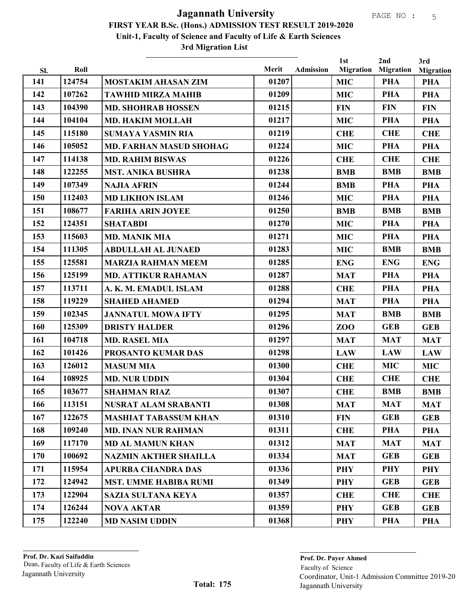|            | Roll   |                                | Merit | <b>Admission</b> | 1st<br><b>Migration</b> | 2nd<br><b>Migration</b> | 3rd                            |
|------------|--------|--------------------------------|-------|------------------|-------------------------|-------------------------|--------------------------------|
| Sl.<br>141 | 124754 | <b>MOSTAKIM AHASAN ZIM</b>     | 01207 |                  | <b>MIC</b>              | <b>PHA</b>              | <b>Migration</b><br><b>PHA</b> |
| 142        | 107262 | <b>TAWHID MIRZA MAHIB</b>      | 01209 |                  | <b>MIC</b>              | <b>PHA</b>              | <b>PHA</b>                     |
| 143        | 104390 | <b>MD. SHOHRAB HOSSEN</b>      | 01215 |                  | <b>FIN</b>              | <b>FIN</b>              | <b>FIN</b>                     |
| 144        | 104104 | <b>MD. HAKIM MOLLAH</b>        | 01217 |                  | <b>MIC</b>              | <b>PHA</b>              | <b>PHA</b>                     |
| 145        | 115180 | <b>SUMAYA YASMIN RIA</b>       | 01219 |                  | <b>CHE</b>              | <b>CHE</b>              | <b>CHE</b>                     |
| 146        | 105052 | <b>MD. FARHAN MASUD SHOHAG</b> | 01224 |                  | <b>MIC</b>              | <b>PHA</b>              | <b>PHA</b>                     |
| 147        | 114138 | <b>MD. RAHIM BISWAS</b>        | 01226 |                  | <b>CHE</b>              | <b>CHE</b>              | <b>CHE</b>                     |
| 148        | 122255 | <b>MST. ANIKA BUSHRA</b>       | 01238 |                  | <b>BMB</b>              | <b>BMB</b>              | <b>BMB</b>                     |
| 149        | 107349 | <b>NAJIA AFRIN</b>             | 01244 |                  | <b>BMB</b>              | <b>PHA</b>              | <b>PHA</b>                     |
| 150        | 112403 | <b>MD LIKHON ISLAM</b>         | 01246 |                  | <b>MIC</b>              | <b>PHA</b>              | <b>PHA</b>                     |
| 151        | 108677 | <b>FARIHA ARIN JOYEE</b>       | 01250 |                  | <b>BMB</b>              | <b>BMB</b>              | <b>BMB</b>                     |
| 152        | 124351 | <b>SHATABDI</b>                | 01270 |                  | <b>MIC</b>              | <b>PHA</b>              | <b>PHA</b>                     |
| 153        | 115603 | <b>MD. MANIK MIA</b>           | 01271 |                  | <b>MIC</b>              | <b>PHA</b>              | <b>PHA</b>                     |
| 154        | 111305 | <b>ABDULLAH AL JUNAED</b>      | 01283 |                  | <b>MIC</b>              | <b>BMB</b>              | <b>BMB</b>                     |
| 155        | 125581 | <b>MARZIA RAHMAN MEEM</b>      | 01285 |                  | <b>ENG</b>              | <b>ENG</b>              | <b>ENG</b>                     |
| 156        | 125199 | <b>MD. ATTIKUR RAHAMAN</b>     | 01287 |                  | <b>MAT</b>              | <b>PHA</b>              | <b>PHA</b>                     |
| 157        | 113711 | A. K. M. EMADUL ISLAM          | 01288 |                  | <b>CHE</b>              | <b>PHA</b>              | <b>PHA</b>                     |
| 158        | 119229 | <b>SHAHED AHAMED</b>           | 01294 |                  | <b>MAT</b>              | <b>PHA</b>              | <b>PHA</b>                     |
| 159        | 102345 | <b>JANNATUL MOWA IFTY</b>      | 01295 |                  | <b>MAT</b>              | <b>BMB</b>              | <b>BMB</b>                     |
| 160        | 125309 | <b>DRISTY HALDER</b>           | 01296 |                  | <b>ZOO</b>              | <b>GEB</b>              | <b>GEB</b>                     |
| 161        | 104718 | <b>MD. RASEL MIA</b>           | 01297 |                  | <b>MAT</b>              | <b>MAT</b>              | <b>MAT</b>                     |
| 162        | 101426 | PROSANTO KUMAR DAS             | 01298 |                  | <b>LAW</b>              | <b>LAW</b>              | <b>LAW</b>                     |
| 163        | 126012 | <b>MASUM MIA</b>               | 01300 |                  | <b>CHE</b>              | <b>MIC</b>              | <b>MIC</b>                     |
| 164        | 108925 | <b>MD. NUR UDDIN</b>           | 01304 |                  | <b>CHE</b>              | <b>CHE</b>              | <b>CHE</b>                     |
| 165        | 103677 | <b>SHAHMAN RIAZ</b>            | 01307 |                  | <b>CHE</b>              | <b>BMB</b>              | <b>BMB</b>                     |
| 166        | 113151 | <b>NUSRAT ALAM SRABANTI</b>    | 01308 |                  | <b>MAT</b>              | <b>MAT</b>              | <b>MAT</b>                     |
| 167        | 122675 | <b>MASHIAT TABASSUM KHAN</b>   | 01310 |                  | <b>FIN</b>              | <b>GEB</b>              | <b>GEB</b>                     |
| 168        | 109240 | <b>MD. INAN NUR RAHMAN</b>     | 01311 |                  | <b>CHE</b>              | <b>PHA</b>              | <b>PHA</b>                     |
| 169        | 117170 | <b>MD AL MAMUN KHAN</b>        | 01312 |                  | <b>MAT</b>              | <b>MAT</b>              | <b>MAT</b>                     |
| 170        | 100692 | <b>NAZMIN AKTHER SHAILLA</b>   | 01334 |                  | <b>MAT</b>              | <b>GEB</b>              | <b>GEB</b>                     |
| 171        | 115954 | <b>APURBA CHANDRA DAS</b>      | 01336 |                  | <b>PHY</b>              | <b>PHY</b>              | <b>PHY</b>                     |
| 172        | 124942 | <b>MST. UMME HABIBA RUMI</b>   | 01349 |                  | <b>PHY</b>              | <b>GEB</b>              | <b>GEB</b>                     |
| 173        | 122904 | <b>SAZIA SULTANA KEYA</b>      | 01357 |                  | <b>CHE</b>              | <b>CHE</b>              | <b>CHE</b>                     |
| 174        | 126244 | <b>NOVA AKTAR</b>              | 01359 |                  | <b>PHY</b>              | <b>GEB</b>              | <b>GEB</b>                     |
| 175        | 122240 | <b>MD NASIM UDDIN</b>          | 01368 |                  | PHY                     | <b>PHA</b>              | <b>PHA</b>                     |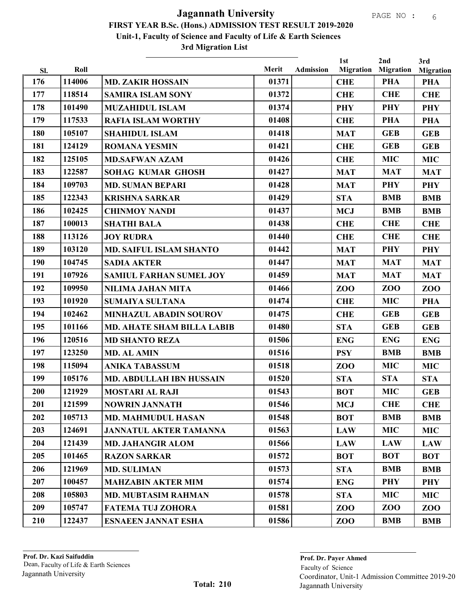| Sl. | Roll   |                                   | Merit | <b>Admission</b> | 1st<br><b>Migration</b> | 2nd<br><b>Migration</b> | 3rd<br><b>Migration</b> |
|-----|--------|-----------------------------------|-------|------------------|-------------------------|-------------------------|-------------------------|
| 176 | 114006 | <b>MD. ZAKIR HOSSAIN</b>          | 01371 |                  | <b>CHE</b>              | <b>PHA</b>              | <b>PHA</b>              |
| 177 | 118514 | <b>SAMIRA ISLAM SONY</b>          | 01372 |                  | <b>CHE</b>              | <b>CHE</b>              | <b>CHE</b>              |
| 178 | 101490 | <b>MUZAHIDUL ISLAM</b>            | 01374 |                  | <b>PHY</b>              | <b>PHY</b>              | <b>PHY</b>              |
| 179 | 117533 | <b>RAFIA ISLAM WORTHY</b>         | 01408 |                  | <b>CHE</b>              | <b>PHA</b>              | <b>PHA</b>              |
| 180 | 105107 | <b>SHAHIDUL ISLAM</b>             | 01418 |                  | <b>MAT</b>              | <b>GEB</b>              | <b>GEB</b>              |
| 181 | 124129 | <b>ROMANA YESMIN</b>              | 01421 |                  | <b>CHE</b>              | <b>GEB</b>              | <b>GEB</b>              |
| 182 | 125105 | <b>MD.SAFWAN AZAM</b>             | 01426 |                  | <b>CHE</b>              | <b>MIC</b>              | <b>MIC</b>              |
| 183 | 122587 | <b>SOHAG KUMAR GHOSH</b>          | 01427 |                  | <b>MAT</b>              | <b>MAT</b>              | <b>MAT</b>              |
| 184 | 109703 | <b>MD. SUMAN BEPARI</b>           | 01428 |                  | <b>MAT</b>              | <b>PHY</b>              | <b>PHY</b>              |
| 185 | 122343 | <b>KRISHNA SARKAR</b>             | 01429 |                  | <b>STA</b>              | <b>BMB</b>              | <b>BMB</b>              |
| 186 | 102425 | <b>CHINMOY NANDI</b>              | 01437 |                  | <b>MCJ</b>              | <b>BMB</b>              | <b>BMB</b>              |
| 187 | 100013 | <b>SHATHI BALA</b>                | 01438 |                  | <b>CHE</b>              | <b>CHE</b>              | <b>CHE</b>              |
| 188 | 113126 | <b>JOY RUDRA</b>                  | 01440 |                  | <b>CHE</b>              | <b>CHE</b>              | <b>CHE</b>              |
| 189 | 103120 | <b>MD. SAIFUL ISLAM SHANTO</b>    | 01442 |                  | <b>MAT</b>              | <b>PHY</b>              | <b>PHY</b>              |
| 190 | 104745 | <b>SADIA AKTER</b>                | 01447 |                  | <b>MAT</b>              | <b>MAT</b>              | <b>MAT</b>              |
| 191 | 107926 | <b>SAMIUL FARHAN SUMEL JOY</b>    | 01459 |                  | <b>MAT</b>              | <b>MAT</b>              | <b>MAT</b>              |
| 192 | 109950 | <b>NILIMA JAHAN MITA</b>          | 01466 |                  | ZOO                     | <b>ZOO</b>              | ZOO                     |
| 193 | 101920 | <b>SUMAIYA SULTANA</b>            | 01474 |                  | <b>CHE</b>              | <b>MIC</b>              | <b>PHA</b>              |
| 194 | 102462 | <b>MINHAZUL ABADIN SOUROV</b>     | 01475 |                  | <b>CHE</b>              | <b>GEB</b>              | <b>GEB</b>              |
| 195 | 101166 | <b>MD. AHATE SHAM BILLA LABIB</b> | 01480 |                  | <b>STA</b>              | <b>GEB</b>              | <b>GEB</b>              |
| 196 | 120516 | <b>MD SHANTO REZA</b>             | 01506 |                  | <b>ENG</b>              | <b>ENG</b>              | <b>ENG</b>              |
| 197 | 123250 | <b>MD. AL AMIN</b>                | 01516 |                  | <b>PSY</b>              | <b>BMB</b>              | <b>BMB</b>              |
| 198 | 115094 | <b>ANIKA TABASSUM</b>             | 01518 |                  | ZO <sub>O</sub>         | <b>MIC</b>              | <b>MIC</b>              |
| 199 | 105176 | <b>MD. ABDULLAH IBN HUSSAIN</b>   | 01520 |                  | <b>STA</b>              | <b>STA</b>              | <b>STA</b>              |
| 200 | 121929 | <b>MOSTARI AL RAJI</b>            | 01543 |                  | <b>BOT</b>              | <b>MIC</b>              | <b>GEB</b>              |
| 201 | 121599 | <b>NOWRIN JANNATH</b>             | 01546 |                  | <b>MCJ</b>              | <b>CHE</b>              | <b>CHE</b>              |
| 202 | 105713 | <b>MD. MAHMUDUL HASAN</b>         | 01548 |                  | <b>BOT</b>              | <b>BMB</b>              | <b>BMB</b>              |
| 203 | 124691 | <b>JANNATUL AKTER TAMANNA</b>     | 01563 |                  | <b>LAW</b>              | <b>MIC</b>              | <b>MIC</b>              |
| 204 | 121439 | <b>MD. JAHANGIR ALOM</b>          | 01566 |                  | <b>LAW</b>              | <b>LAW</b>              | <b>LAW</b>              |
| 205 | 101465 | <b>RAZON SARKAR</b>               | 01572 |                  | <b>BOT</b>              | <b>BOT</b>              | <b>BOT</b>              |
| 206 | 121969 | <b>MD. SULIMAN</b>                | 01573 |                  | <b>STA</b>              | <b>BMB</b>              | <b>BMB</b>              |
| 207 | 100457 | <b>MAHZABIN AKTER MIM</b>         | 01574 |                  | <b>ENG</b>              | <b>PHY</b>              | <b>PHY</b>              |
| 208 | 105803 | <b>MD. MUBTASIM RAHMAN</b>        | 01578 |                  | <b>STA</b>              | <b>MIC</b>              | <b>MIC</b>              |
| 209 | 105747 | <b>FATEMA TUJ ZOHORA</b>          | 01581 |                  | ZOO                     | ZOO                     | ZOO                     |
| 210 | 122437 | <b>ESNAEEN JANNAT ESHA</b>        | 01586 |                  | ZOO                     | <b>BMB</b>              | <b>BMB</b>              |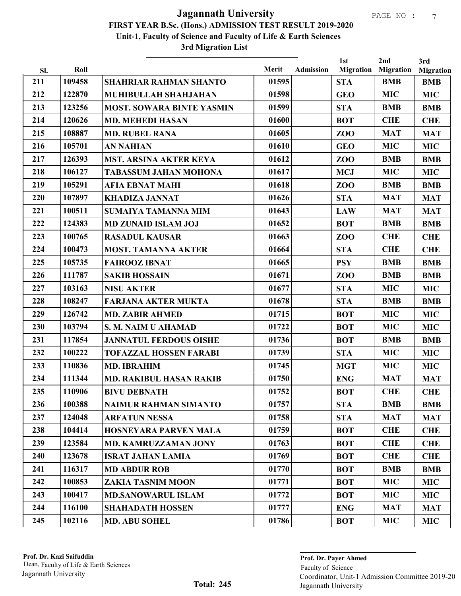| Sl. | Roll   |                                  | Merit | <b>Admission</b> | 1st<br><b>Migration</b> | 2nd<br><b>Migration</b> | 3rd<br><b>Migration</b> |
|-----|--------|----------------------------------|-------|------------------|-------------------------|-------------------------|-------------------------|
| 211 | 109458 | <b>SHAHRIAR RAHMAN SHANTO</b>    | 01595 |                  | <b>STA</b>              | <b>BMB</b>              | <b>BMB</b>              |
| 212 | 122870 | MUHIBULLAH SHAHJAHAN             | 01598 |                  | <b>GEO</b>              | <b>MIC</b>              | <b>MIC</b>              |
| 213 | 123256 | <b>MOST. SOWARA BINTE YASMIN</b> | 01599 |                  | <b>STA</b>              | <b>BMB</b>              | <b>BMB</b>              |
| 214 | 120626 | <b>MD. MEHEDI HASAN</b>          | 01600 |                  | <b>BOT</b>              | <b>CHE</b>              | <b>CHE</b>              |
| 215 | 108887 | <b>MD. RUBEL RANA</b>            | 01605 |                  | ZO <sub>O</sub>         | <b>MAT</b>              | <b>MAT</b>              |
| 216 | 105701 | <b>AN NAHIAN</b>                 | 01610 |                  | <b>GEO</b>              | <b>MIC</b>              | <b>MIC</b>              |
| 217 | 126393 | <b>MST. ARSINA AKTER KEYA</b>    | 01612 |                  | ZOO                     | <b>BMB</b>              | <b>BMB</b>              |
| 218 | 106127 | <b>TABASSUM JAHAN MOHONA</b>     | 01617 |                  | <b>MCJ</b>              | <b>MIC</b>              | <b>MIC</b>              |
| 219 | 105291 | <b>AFIA EBNAT MAHI</b>           | 01618 |                  | ZOO                     | <b>BMB</b>              | <b>BMB</b>              |
| 220 | 107897 | <b>KHADIZA JANNAT</b>            | 01626 |                  | <b>STA</b>              | <b>MAT</b>              | <b>MAT</b>              |
| 221 | 100511 | <b>SUMAIYA TAMANNA MIM</b>       | 01643 |                  | <b>LAW</b>              | <b>MAT</b>              | <b>MAT</b>              |
| 222 | 124383 | <b>MD ZUNAID ISLAM JOJ</b>       | 01652 |                  | <b>BOT</b>              | <b>BMB</b>              | <b>BMB</b>              |
| 223 | 100765 | <b>RASADUL KAUSAR</b>            | 01663 |                  | ZO <sub>O</sub>         | <b>CHE</b>              | <b>CHE</b>              |
| 224 | 100473 | <b>MOST. TAMANNA AKTER</b>       | 01664 |                  | <b>STA</b>              | <b>CHE</b>              | <b>CHE</b>              |
| 225 | 105735 | <b>FAIROOZ IBNAT</b>             | 01665 |                  | <b>PSY</b>              | <b>BMB</b>              | <b>BMB</b>              |
| 226 | 111787 | <b>SAKIB HOSSAIN</b>             | 01671 |                  | ZOO                     | <b>BMB</b>              | <b>BMB</b>              |
| 227 | 103163 | <b>NISU AKTER</b>                | 01677 |                  | <b>STA</b>              | <b>MIC</b>              | <b>MIC</b>              |
| 228 | 108247 | <b>FARJANA AKTER MUKTA</b>       | 01678 |                  | <b>STA</b>              | <b>BMB</b>              | <b>BMB</b>              |
| 229 | 126742 | <b>MD. ZABIR AHMED</b>           | 01715 |                  | <b>BOT</b>              | <b>MIC</b>              | <b>MIC</b>              |
| 230 | 103794 | S. M. NAIM U AHAMAD              | 01722 |                  | <b>BOT</b>              | <b>MIC</b>              | <b>MIC</b>              |
| 231 | 117854 | <b>JANNATUL FERDOUS OISHE</b>    | 01736 |                  | <b>BOT</b>              | <b>BMB</b>              | <b>BMB</b>              |
| 232 | 100222 | <b>TOFAZZAL HOSSEN FARABI</b>    | 01739 |                  | <b>STA</b>              | <b>MIC</b>              | <b>MIC</b>              |
| 233 | 110836 | <b>MD. IBRAHIM</b>               | 01745 |                  | <b>MGT</b>              | <b>MIC</b>              | <b>MIC</b>              |
| 234 | 111344 | <b>MD. RAKIBUL HASAN RAKIB</b>   | 01750 |                  | <b>ENG</b>              | <b>MAT</b>              | <b>MAT</b>              |
| 235 | 110906 | <b>BIVU DEBNATH</b>              | 01752 |                  | <b>BOT</b>              | <b>CHE</b>              | <b>CHE</b>              |
| 236 | 100388 | <b>NAIMUR RAHMAN SIMANTO</b>     | 01757 |                  | <b>STA</b>              | <b>BMB</b>              | <b>BMB</b>              |
| 237 | 124048 | <b>ARFATUN NESSA</b>             | 01758 |                  | <b>STA</b>              | <b>MAT</b>              | <b>MAT</b>              |
| 238 | 104414 | <b>HOSNEYARA PARVEN MALA</b>     | 01759 |                  | <b>BOT</b>              | <b>CHE</b>              | <b>CHE</b>              |
| 239 | 123584 | <b>MD. KAMRUZZAMAN JONY</b>      | 01763 |                  | <b>BOT</b>              | <b>CHE</b>              | <b>CHE</b>              |
| 240 | 123678 | <b>ISRAT JAHAN LAMIA</b>         | 01769 |                  | <b>BOT</b>              | <b>CHE</b>              | <b>CHE</b>              |
| 241 | 116317 | <b>MD ABDUR ROB</b>              | 01770 |                  | <b>BOT</b>              | <b>BMB</b>              | <b>BMB</b>              |
| 242 | 100853 | <b>ZAKIA TASNIM MOON</b>         | 01771 |                  | <b>BOT</b>              | <b>MIC</b>              | <b>MIC</b>              |
| 243 | 100417 | <b>MD.SANOWARUL ISLAM</b>        | 01772 |                  | <b>BOT</b>              | <b>MIC</b>              | <b>MIC</b>              |
| 244 | 116100 | <b>SHAHADATH HOSSEN</b>          | 01777 |                  | <b>ENG</b>              | <b>MAT</b>              | <b>MAT</b>              |
| 245 | 102116 | <b>MD. ABU SOHEL</b>             | 01786 |                  | <b>BOT</b>              | <b>MIC</b>              | <b>MIC</b>              |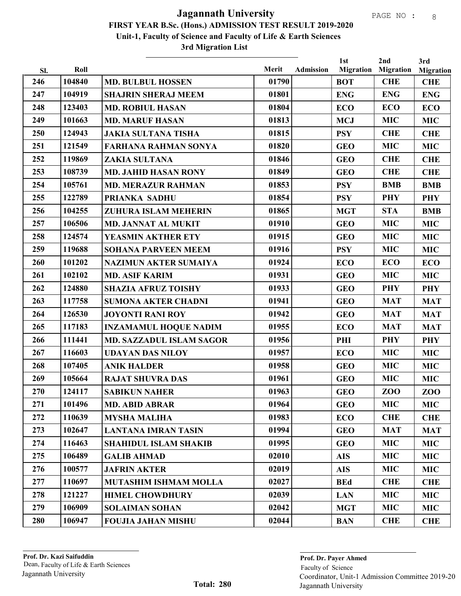| SI. | Roll   |                                 | Merit | <b>Admission</b> | 1st<br><b>Migration</b> | 2nd<br><b>Migration</b> | 3rd<br><b>Migration</b> |
|-----|--------|---------------------------------|-------|------------------|-------------------------|-------------------------|-------------------------|
| 246 | 104840 | <b>MD. BULBUL HOSSEN</b>        | 01790 |                  | <b>BOT</b>              | <b>CHE</b>              | <b>CHE</b>              |
| 247 | 104919 | <b>SHAJRIN SHERAJ MEEM</b>      | 01801 |                  | <b>ENG</b>              | <b>ENG</b>              | <b>ENG</b>              |
| 248 | 123403 | <b>MD. ROBIUL HASAN</b>         | 01804 |                  | <b>ECO</b>              | <b>ECO</b>              | <b>ECO</b>              |
| 249 | 101663 | <b>MD. MARUF HASAN</b>          | 01813 |                  | <b>MCJ</b>              | <b>MIC</b>              | <b>MIC</b>              |
| 250 | 124943 | <b>JAKIA SULTANA TISHA</b>      | 01815 |                  | <b>PSY</b>              | <b>CHE</b>              | <b>CHE</b>              |
| 251 | 121549 | <b>FARHANA RAHMAN SONYA</b>     | 01820 |                  | <b>GEO</b>              | <b>MIC</b>              | <b>MIC</b>              |
| 252 | 119869 | <b>ZAKIA SULTANA</b>            | 01846 |                  | <b>GEO</b>              | <b>CHE</b>              | <b>CHE</b>              |
| 253 | 108739 | <b>MD. JAHID HASAN RONY</b>     | 01849 |                  | <b>GEO</b>              | <b>CHE</b>              | <b>CHE</b>              |
| 254 | 105761 | <b>MD. MERAZUR RAHMAN</b>       | 01853 |                  | <b>PSY</b>              | <b>BMB</b>              | <b>BMB</b>              |
| 255 | 122789 | <b>PRIANKA SADHU</b>            | 01854 |                  | <b>PSY</b>              | <b>PHY</b>              | <b>PHY</b>              |
| 256 | 104255 | ZUHURA ISLAM MEHERIN            | 01865 |                  | <b>MGT</b>              | <b>STA</b>              | <b>BMB</b>              |
| 257 | 106506 | <b>MD. JANNAT AL MUKIT</b>      | 01910 |                  | <b>GEO</b>              | <b>MIC</b>              | <b>MIC</b>              |
| 258 | 124574 | YEASMIN AKTHER ETY              | 01915 |                  | <b>GEO</b>              | <b>MIC</b>              | <b>MIC</b>              |
| 259 | 119688 | <b>SOHANA PARVEEN MEEM</b>      | 01916 |                  | <b>PSY</b>              | <b>MIC</b>              | <b>MIC</b>              |
| 260 | 101202 | <b>NAZIMUN AKTER SUMAIYA</b>    | 01924 |                  | <b>ECO</b>              | <b>ECO</b>              | <b>ECO</b>              |
| 261 | 102102 | <b>MD. ASIF KARIM</b>           | 01931 |                  | <b>GEO</b>              | <b>MIC</b>              | <b>MIC</b>              |
| 262 | 124880 | <b>SHAZIA AFRUZ TOISHY</b>      | 01933 |                  | <b>GEO</b>              | <b>PHY</b>              | <b>PHY</b>              |
| 263 | 117758 | <b>SUMONA AKTER CHADNI</b>      | 01941 |                  | <b>GEO</b>              | <b>MAT</b>              | <b>MAT</b>              |
| 264 | 126530 | <b>JOYONTI RANI ROY</b>         | 01942 |                  | <b>GEO</b>              | <b>MAT</b>              | <b>MAT</b>              |
| 265 | 117183 | <b>INZAMAMUL HOQUE NADIM</b>    | 01955 |                  | <b>ECO</b>              | <b>MAT</b>              | <b>MAT</b>              |
| 266 | 111441 | <b>MD. SAZZADUL ISLAM SAGOR</b> | 01956 |                  | PHI                     | <b>PHY</b>              | <b>PHY</b>              |
| 267 | 116603 | <b>UDAYAN DAS NILOY</b>         | 01957 |                  | <b>ECO</b>              | <b>MIC</b>              | <b>MIC</b>              |
| 268 | 107405 | <b>ANIK HALDER</b>              | 01958 |                  | <b>GEO</b>              | <b>MIC</b>              | <b>MIC</b>              |
| 269 | 105664 | <b>RAJAT SHUVRA DAS</b>         | 01961 |                  | <b>GEO</b>              | <b>MIC</b>              | <b>MIC</b>              |
| 270 | 124117 | <b>SABIKUN NAHER</b>            | 01963 |                  | <b>GEO</b>              | ZOO                     | ZOO                     |
| 271 | 101496 | <b>MD. ABID ABRAR</b>           | 01964 |                  | <b>GEO</b>              | <b>MIC</b>              | <b>MIC</b>              |
| 272 | 110639 | <b>MYSHA MALIHA</b>             | 01983 |                  | <b>ECO</b>              | <b>CHE</b>              | <b>CHE</b>              |
| 273 | 102647 | <b>LANTANA IMRAN TASIN</b>      | 01994 |                  | <b>GEO</b>              | <b>MAT</b>              | <b>MAT</b>              |
| 274 | 116463 | <b>SHAHIDUL ISLAM SHAKIB</b>    | 01995 |                  | <b>GEO</b>              | <b>MIC</b>              | <b>MIC</b>              |
| 275 | 106489 | <b>GALIB AHMAD</b>              | 02010 |                  | <b>AIS</b>              | <b>MIC</b>              | <b>MIC</b>              |
| 276 | 100577 | <b>JAFRIN AKTER</b>             | 02019 |                  | <b>AIS</b>              | <b>MIC</b>              | <b>MIC</b>              |
| 277 | 110697 | <b>MUTASHIM ISHMAM MOLLA</b>    | 02027 |                  | <b>BEd</b>              | <b>CHE</b>              | <b>CHE</b>              |
| 278 | 121227 | <b>HIMEL CHOWDHURY</b>          | 02039 |                  | <b>LAN</b>              | <b>MIC</b>              | <b>MIC</b>              |
| 279 | 106909 | <b>SOLAIMAN SOHAN</b>           | 02042 |                  | <b>MGT</b>              | <b>MIC</b>              | <b>MIC</b>              |
| 280 | 106947 | <b>FOUJIA JAHAN MISHU</b>       | 02044 |                  | <b>BAN</b>              | <b>CHE</b>              | <b>CHE</b>              |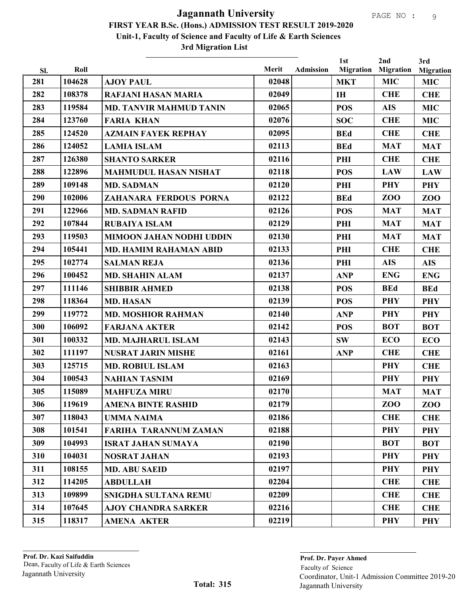| SI. | Roll   |                                 | Merit | <b>Admission</b> | 1st<br><b>Migration</b> | 2nd<br><b>Migration</b> | 3rd<br><b>Migration</b> |
|-----|--------|---------------------------------|-------|------------------|-------------------------|-------------------------|-------------------------|
| 281 | 104628 | <b>AJOY PAUL</b>                | 02048 |                  | <b>MKT</b>              | <b>MIC</b>              | <b>MIC</b>              |
| 282 | 108378 | <b>RAFJANI HASAN MARIA</b>      | 02049 |                  | <b>IH</b>               | <b>CHE</b>              | <b>CHE</b>              |
| 283 | 119584 | <b>MD. TANVIR MAHMUD TANIN</b>  | 02065 |                  | <b>POS</b>              | <b>AIS</b>              | <b>MIC</b>              |
| 284 | 123760 | <b>FARIA KHAN</b>               | 02076 |                  | <b>SOC</b>              | <b>CHE</b>              | <b>MIC</b>              |
| 285 | 124520 | <b>AZMAIN FAYEK REPHAY</b>      | 02095 |                  | <b>BEd</b>              | <b>CHE</b>              | <b>CHE</b>              |
| 286 | 124052 | <b>LAMIA ISLAM</b>              | 02113 |                  | <b>BEd</b>              | <b>MAT</b>              | <b>MAT</b>              |
| 287 | 126380 | <b>SHANTO SARKER</b>            | 02116 |                  | PHI                     | <b>CHE</b>              | <b>CHE</b>              |
| 288 | 122896 | <b>MAHMUDUL HASAN NISHAT</b>    | 02118 |                  | <b>POS</b>              | <b>LAW</b>              | <b>LAW</b>              |
| 289 | 109148 | <b>MD. SADMAN</b>               | 02120 |                  | PHI                     | <b>PHY</b>              | <b>PHY</b>              |
| 290 | 102006 | ZAHANARA FERDOUS PORNA          | 02122 |                  | <b>BEd</b>              | <b>ZOO</b>              | ZOO                     |
| 291 | 122966 | <b>MD. SADMAN RAFID</b>         | 02126 |                  | <b>POS</b>              | <b>MAT</b>              | <b>MAT</b>              |
| 292 | 107844 | <b>RUBAIYA ISLAM</b>            | 02129 |                  | PHI                     | <b>MAT</b>              | <b>MAT</b>              |
| 293 | 119503 | <b>MIMOON JAHAN NODHI UDDIN</b> | 02130 |                  | PHI                     | <b>MAT</b>              | <b>MAT</b>              |
| 294 | 105441 | <b>MD. HAMIM RAHAMAN ABID</b>   | 02133 |                  | PHI                     | <b>CHE</b>              | <b>CHE</b>              |
| 295 | 102774 | <b>SALMAN REJA</b>              | 02136 |                  | PHI                     | <b>AIS</b>              | <b>AIS</b>              |
| 296 | 100452 | <b>MD. SHAHIN ALAM</b>          | 02137 |                  | <b>ANP</b>              | <b>ENG</b>              | <b>ENG</b>              |
| 297 | 111146 | <b>SHIBBIR AHMED</b>            | 02138 |                  | <b>POS</b>              | <b>BEd</b>              | <b>BEd</b>              |
| 298 | 118364 | <b>MD. HASAN</b>                | 02139 |                  | <b>POS</b>              | <b>PHY</b>              | <b>PHY</b>              |
| 299 | 119772 | <b>MD. MOSHIOR RAHMAN</b>       | 02140 |                  | <b>ANP</b>              | <b>PHY</b>              | <b>PHY</b>              |
| 300 | 106092 | <b>FARJANA AKTER</b>            | 02142 |                  | <b>POS</b>              | <b>BOT</b>              | <b>BOT</b>              |
| 301 | 100332 | <b>MD. MAJHARUL ISLAM</b>       | 02143 |                  | <b>SW</b>               | <b>ECO</b>              | <b>ECO</b>              |
| 302 | 111197 | <b>NUSRAT JARIN MISHE</b>       | 02161 |                  | <b>ANP</b>              | <b>CHE</b>              | <b>CHE</b>              |
| 303 | 125715 | <b>MD. ROBIUL ISLAM</b>         | 02163 |                  |                         | <b>PHY</b>              | <b>CHE</b>              |
| 304 | 100543 | <b>NAHIAN TASNIM</b>            | 02169 |                  |                         | <b>PHY</b>              | <b>PHY</b>              |
| 305 | 115089 | <b>MAHFUZA MIRU</b>             | 02170 |                  |                         | <b>MAT</b>              | <b>MAT</b>              |
| 306 | 119619 | <b>AMENA BINTE RASHID</b>       | 02179 |                  |                         | Z <sub>00</sub>         | ZOO                     |
| 307 | 118043 | <b>UMMA NAIMA</b>               | 02186 |                  |                         | <b>CHE</b>              | <b>CHE</b>              |
| 308 | 101541 | <b>FARIHA TARANNUM ZAMAN</b>    | 02188 |                  |                         | <b>PHY</b>              | <b>PHY</b>              |
| 309 | 104993 | <b>ISRAT JAHAN SUMAYA</b>       | 02190 |                  |                         | <b>BOT</b>              | <b>BOT</b>              |
| 310 | 104031 | <b>NOSRAT JAHAN</b>             | 02193 |                  |                         | <b>PHY</b>              | <b>PHY</b>              |
| 311 | 108155 | <b>MD. ABU SAEID</b>            | 02197 |                  |                         | <b>PHY</b>              | PHY                     |
| 312 | 114205 | <b>ABDULLAH</b>                 | 02204 |                  |                         | <b>CHE</b>              | <b>CHE</b>              |
| 313 | 109899 | <b>SNIGDHA SULTANA REMU</b>     | 02209 |                  |                         | <b>CHE</b>              | <b>CHE</b>              |
| 314 | 107645 | <b>AJOY CHANDRA SARKER</b>      | 02216 |                  |                         | <b>CHE</b>              | <b>CHE</b>              |
| 315 | 118317 | <b>AMENA AKTER</b>              | 02219 |                  |                         | <b>PHY</b>              | <b>PHY</b>              |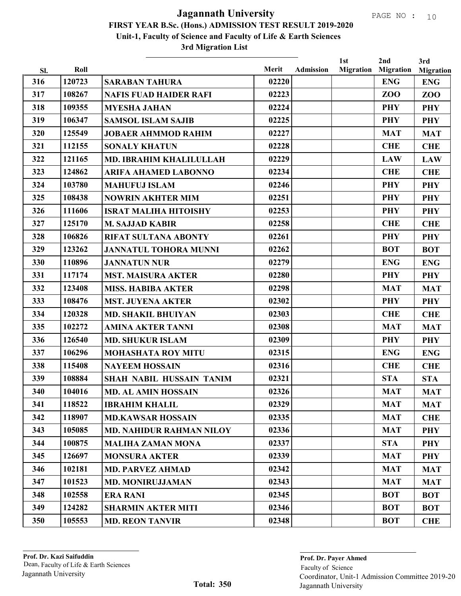#### 3rd Migration List

|            | Roll   |                                 | Merit | <b>Admission</b> | 1st<br><b>Migration</b> | 2nd<br><b>Migration</b> | 3rd                            |
|------------|--------|---------------------------------|-------|------------------|-------------------------|-------------------------|--------------------------------|
| SI.<br>316 | 120723 | <b>SARABAN TAHURA</b>           | 02220 |                  |                         | <b>ENG</b>              | <b>Migration</b><br><b>ENG</b> |
| 317        | 108267 | <b>NAFIS FUAD HAIDER RAFI</b>   | 02223 |                  |                         | ZOO                     | ZOO                            |
| 318        | 109355 | <b>MYESHA JAHAN</b>             | 02224 |                  |                         | <b>PHY</b>              | <b>PHY</b>                     |
| 319        | 106347 | <b>SAMSOL ISLAM SAJIB</b>       | 02225 |                  |                         | <b>PHY</b>              | <b>PHY</b>                     |
| 320        | 125549 | <b>JOBAER AHMMOD RAHIM</b>      | 02227 |                  |                         | <b>MAT</b>              | <b>MAT</b>                     |
| 321        | 112155 | <b>SONALY KHATUN</b>            | 02228 |                  |                         | <b>CHE</b>              | <b>CHE</b>                     |
| 322        | 121165 | <b>MD. IBRAHIM KHALILULLAH</b>  | 02229 |                  |                         | <b>LAW</b>              | <b>LAW</b>                     |
| 323        | 124862 | <b>ARIFA AHAMED LABONNO</b>     | 02234 |                  |                         | <b>CHE</b>              | <b>CHE</b>                     |
| 324        | 103780 | <b>MAHUFUJ ISLAM</b>            | 02246 |                  |                         | <b>PHY</b>              | <b>PHY</b>                     |
| 325        | 108438 | <b>NOWRIN AKHTER MIM</b>        | 02251 |                  |                         | <b>PHY</b>              | <b>PHY</b>                     |
| 326        | 111606 | <b>ISRAT MALIHA HITOISHY</b>    | 02253 |                  |                         | <b>PHY</b>              | <b>PHY</b>                     |
| 327        | 125170 | <b>M. SAJJAD KABIR</b>          | 02258 |                  |                         | <b>CHE</b>              | <b>CHE</b>                     |
| 328        | 106826 | <b>RIFAT SULTANA ABONTY</b>     | 02261 |                  |                         | <b>PHY</b>              | <b>PHY</b>                     |
| 329        | 123262 | <b>JANNATUL TOHORA MUNNI</b>    | 02262 |                  |                         | <b>BOT</b>              | <b>BOT</b>                     |
| 330        | 110896 | <b>JANNATUN NUR</b>             | 02279 |                  |                         | <b>ENG</b>              | <b>ENG</b>                     |
| 331        | 117174 | <b>MST. MAISURA AKTER</b>       | 02280 |                  |                         | <b>PHY</b>              | <b>PHY</b>                     |
| 332        | 123408 | <b>MISS. HABIBA AKTER</b>       | 02298 |                  |                         | <b>MAT</b>              | <b>MAT</b>                     |
| 333        | 108476 | <b>MST. JUYENA AKTER</b>        | 02302 |                  |                         | <b>PHY</b>              | <b>PHY</b>                     |
| 334        | 120328 | <b>MD. SHAKIL BHUIYAN</b>       | 02303 |                  |                         | <b>CHE</b>              | <b>CHE</b>                     |
| 335        | 102272 | <b>AMINA AKTER TANNI</b>        | 02308 |                  |                         | <b>MAT</b>              | <b>MAT</b>                     |
| 336        | 126540 | <b>MD. SHUKUR ISLAM</b>         | 02309 |                  |                         | <b>PHY</b>              | <b>PHY</b>                     |
| 337        | 106296 | <b>MOHASHATA ROY MITU</b>       | 02315 |                  |                         | <b>ENG</b>              | <b>ENG</b>                     |
| 338        | 115408 | <b>NAYEEM HOSSAIN</b>           | 02316 |                  |                         | <b>CHE</b>              | <b>CHE</b>                     |
| 339        | 108884 | <b>SHAH NABIL HUSSAIN TANIM</b> | 02321 |                  |                         | <b>STA</b>              | <b>STA</b>                     |
| 340        | 104016 | <b>MD. AL AMIN HOSSAIN</b>      | 02326 |                  |                         | <b>MAT</b>              | <b>MAT</b>                     |
| 341        | 118522 | <b>IBRAHIM KHALIL</b>           | 02329 |                  |                         | <b>MAT</b>              | <b>MAT</b>                     |
| 342        | 118907 | <b>MD.KAWSAR HOSSAIN</b>        | 02335 |                  |                         | <b>MAT</b>              | <b>CHE</b>                     |
| 343        | 105085 | <b>MD. NAHIDUR RAHMAN NILOY</b> | 02336 |                  |                         | <b>MAT</b>              | <b>PHY</b>                     |
| 344        | 100875 | <b>MALIHA ZAMAN MONA</b>        | 02337 |                  |                         | <b>STA</b>              | PHY                            |
| 345        | 126697 | <b>MONSURA AKTER</b>            | 02339 |                  |                         | <b>MAT</b>              | <b>PHY</b>                     |
| 346        | 102181 | <b>MD. PARVEZ AHMAD</b>         | 02342 |                  |                         | <b>MAT</b>              | <b>MAT</b>                     |
| 347        | 101523 | <b>MD. MONIRUJJAMAN</b>         | 02343 |                  |                         | <b>MAT</b>              | <b>MAT</b>                     |
| 348        | 102558 | <b>ERA RANI</b>                 | 02345 |                  |                         | <b>BOT</b>              | <b>BOT</b>                     |
| 349        | 124282 | <b>SHARMIN AKTER MITI</b>       | 02346 |                  |                         | <b>BOT</b>              | <b>BOT</b>                     |
| 350        | 105553 | <b>MD. REON TANVIR</b>          | 02348 |                  |                         | <b>BOT</b>              | <b>CHE</b>                     |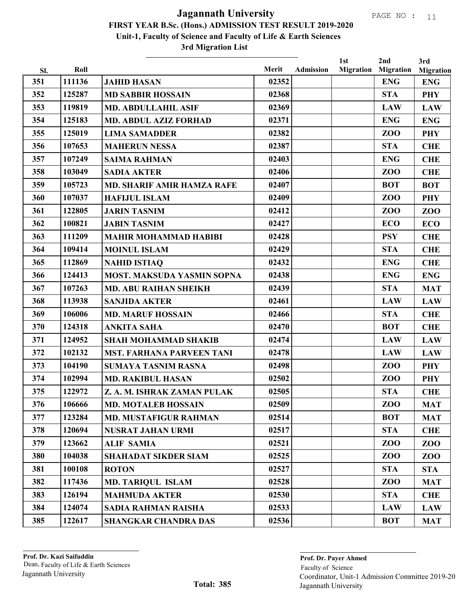| SI. | Roll   |                                   | Merit | <b>Admission</b> | 1st<br><b>Migration</b> | 2nd<br><b>Migration</b> | 3rd<br><b>Migration</b> |
|-----|--------|-----------------------------------|-------|------------------|-------------------------|-------------------------|-------------------------|
| 351 | 111136 | <b>JAHID HASAN</b>                | 02352 |                  |                         | <b>ENG</b>              | <b>ENG</b>              |
| 352 | 125287 | <b>MD SABBIR HOSSAIN</b>          | 02368 |                  |                         | <b>STA</b>              | <b>PHY</b>              |
| 353 | 119819 | <b>MD. ABDULLAHIL ASIF</b>        | 02369 |                  |                         | <b>LAW</b>              | <b>LAW</b>              |
| 354 | 125183 | <b>MD. ABDUL AZIZ FORHAD</b>      | 02371 |                  |                         | <b>ENG</b>              | <b>ENG</b>              |
| 355 | 125019 | <b>LIMA SAMADDER</b>              | 02382 |                  |                         | <b>ZOO</b>              | <b>PHY</b>              |
| 356 | 107653 | <b>MAHERUN NESSA</b>              | 02387 |                  |                         | <b>STA</b>              | <b>CHE</b>              |
| 357 | 107249 | <b>SAIMA RAHMAN</b>               | 02403 |                  |                         | <b>ENG</b>              | <b>CHE</b>              |
| 358 | 103049 | <b>SADIA AKTER</b>                | 02406 |                  |                         | <b>ZOO</b>              | <b>CHE</b>              |
| 359 | 105723 | <b>MD. SHARIF AMIR HAMZA RAFE</b> | 02407 |                  |                         | <b>BOT</b>              | <b>BOT</b>              |
| 360 | 107037 | <b>HAFIJUL ISLAM</b>              | 02409 |                  |                         | ZOO                     | <b>PHY</b>              |
| 361 | 122805 | <b>JARIN TASNIM</b>               | 02412 |                  |                         | ZOO                     | ZOO                     |
| 362 | 100821 | <b>JABIN TASNIM</b>               | 02427 |                  |                         | <b>ECO</b>              | <b>ECO</b>              |
| 363 | 111209 | <b>MAHIR MOHAMMAD HABIBI</b>      | 02428 |                  |                         | <b>PSY</b>              | <b>CHE</b>              |
| 364 | 109414 | <b>MOINUL ISLAM</b>               | 02429 |                  |                         | <b>STA</b>              | <b>CHE</b>              |
| 365 | 112869 | <b>NAHID ISTIAQ</b>               | 02432 |                  |                         | <b>ENG</b>              | <b>CHE</b>              |
| 366 | 124413 | <b>MOST. MAKSUDA YASMIN SOPNA</b> | 02438 |                  |                         | <b>ENG</b>              | <b>ENG</b>              |
| 367 | 107263 | <b>MD. ABU RAIHAN SHEIKH</b>      | 02439 |                  |                         | <b>STA</b>              | <b>MAT</b>              |
| 368 | 113938 | <b>SANJIDA AKTER</b>              | 02461 |                  |                         | <b>LAW</b>              | <b>LAW</b>              |
| 369 | 106006 | <b>MD. MARUF HOSSAIN</b>          | 02466 |                  |                         | <b>STA</b>              | <b>CHE</b>              |
| 370 | 124318 | <b>ANKITA SAHA</b>                | 02470 |                  |                         | <b>BOT</b>              | <b>CHE</b>              |
| 371 | 124952 | <b>SHAH MOHAMMAD SHAKIB</b>       | 02474 |                  |                         | <b>LAW</b>              | <b>LAW</b>              |
| 372 | 102132 | <b>MST. FARHANA PARVEEN TANI</b>  | 02478 |                  |                         | <b>LAW</b>              | <b>LAW</b>              |
| 373 | 104190 | <b>SUMAYA TASNIM RASNA</b>        | 02498 |                  |                         | ZOO                     | <b>PHY</b>              |
| 374 | 102994 | <b>MD. RAKIBUL HASAN</b>          | 02502 |                  |                         | ZOO                     | <b>PHY</b>              |
| 375 | 122972 | Z. A. M. ISHRAK ZAMAN PULAK       | 02505 |                  |                         | <b>STA</b>              | <b>CHE</b>              |
| 376 | 106666 | <b>MD. MOTALEB HOSSAIN</b>        | 02509 |                  |                         | ZOO                     | <b>MAT</b>              |
| 377 | 123284 | <b>MD. MUSTAFIGUR RAHMAN</b>      | 02514 |                  |                         | <b>BOT</b>              | <b>MAT</b>              |
| 378 | 120694 | <b>NUSRAT JAHAN URMI</b>          | 02517 |                  |                         | <b>STA</b>              | <b>CHE</b>              |
| 379 | 123662 | <b>ALIF SAMIA</b>                 | 02521 |                  |                         | ZOO                     | ZOO                     |
| 380 | 104038 | <b>SHAHADAT SIKDER SIAM</b>       | 02525 |                  |                         | ZOO                     | ZOO                     |
| 381 | 100108 | <b>ROTON</b>                      | 02527 |                  |                         | <b>STA</b>              | <b>STA</b>              |
| 382 | 117436 | <b>MD. TARIQUL ISLAM</b>          | 02528 |                  |                         | ZOO                     | <b>MAT</b>              |
| 383 | 126194 | <b>MAHMUDA AKTER</b>              | 02530 |                  |                         | <b>STA</b>              | <b>CHE</b>              |
| 384 | 124074 | <b>SADIA RAHMAN RAISHA</b>        | 02533 |                  |                         | <b>LAW</b>              | <b>LAW</b>              |
| 385 | 122617 | <b>SHANGKAR CHANDRA DAS</b>       | 02536 |                  |                         | <b>BOT</b>              | <b>MAT</b>              |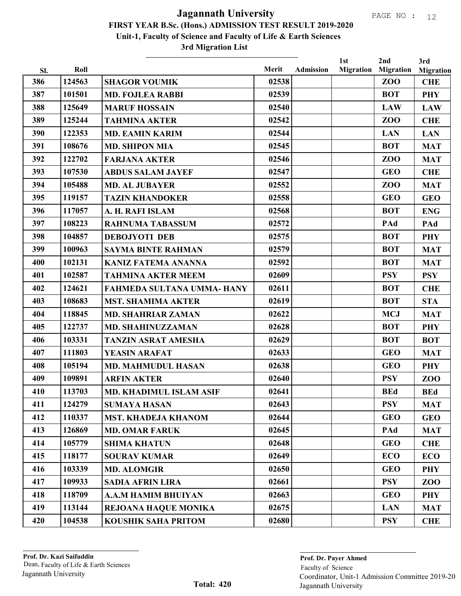| SI. | Roll   |                                   | Merit | Admission | 1st<br><b>Migration</b> | 2nd<br><b>Migration</b> | 3rd<br><b>Migration</b> |
|-----|--------|-----------------------------------|-------|-----------|-------------------------|-------------------------|-------------------------|
| 386 | 124563 | <b>SHAGOR VOUMIK</b>              | 02538 |           |                         | ZOO                     | <b>CHE</b>              |
| 387 | 101501 | <b>MD. FOJLEA RABBI</b>           | 02539 |           |                         | <b>BOT</b>              | <b>PHY</b>              |
| 388 | 125649 | <b>MARUF HOSSAIN</b>              | 02540 |           |                         | <b>LAW</b>              | <b>LAW</b>              |
| 389 | 125244 | <b>TAHMINA AKTER</b>              | 02542 |           |                         | ZOO                     | <b>CHE</b>              |
| 390 | 122353 | <b>MD. EAMIN KARIM</b>            | 02544 |           |                         | <b>LAN</b>              | <b>LAN</b>              |
| 391 | 108676 | <b>MD. SHIPON MIA</b>             | 02545 |           |                         | <b>BOT</b>              | <b>MAT</b>              |
| 392 | 122702 | <b>FARJANA AKTER</b>              | 02546 |           |                         | <b>ZOO</b>              | <b>MAT</b>              |
| 393 | 107530 | <b>ABDUS SALAM JAYEF</b>          | 02547 |           |                         | <b>GEO</b>              | <b>CHE</b>              |
| 394 | 105488 | <b>MD. AL JUBAYER</b>             | 02552 |           |                         | <b>ZOO</b>              | <b>MAT</b>              |
| 395 | 119157 | <b>TAZIN KHANDOKER</b>            | 02558 |           |                         | <b>GEO</b>              | <b>GEO</b>              |
| 396 | 117057 | A. H. RAFI ISLAM                  | 02568 |           |                         | <b>BOT</b>              | <b>ENG</b>              |
| 397 | 108223 | <b>RAHNUMA TABASSUM</b>           | 02572 |           |                         | PAd                     | PAd                     |
| 398 | 104857 | <b>DEBOJYOTI DEB</b>              | 02575 |           |                         | <b>BOT</b>              | <b>PHY</b>              |
| 399 | 100963 | <b>SAYMA BINTE RAHMAN</b>         | 02579 |           |                         | <b>BOT</b>              | <b>MAT</b>              |
| 400 | 102131 | <b>KANIZ FATEMA ANANNA</b>        | 02592 |           |                         | <b>BOT</b>              | <b>MAT</b>              |
| 401 | 102587 | <b>TAHMINA AKTER MEEM</b>         | 02609 |           |                         | <b>PSY</b>              | <b>PSY</b>              |
| 402 | 124621 | <b>FAHMEDA SULTANA UMMA- HANY</b> | 02611 |           |                         | <b>BOT</b>              | <b>CHE</b>              |
| 403 | 108683 | <b>MST. SHAMIMA AKTER</b>         | 02619 |           |                         | <b>BOT</b>              | <b>STA</b>              |
| 404 | 118845 | <b>MD. SHAHRIAR ZAMAN</b>         | 02622 |           |                         | <b>MCJ</b>              | <b>MAT</b>              |
| 405 | 122737 | <b>MD. SHAHINUZZAMAN</b>          | 02628 |           |                         | <b>BOT</b>              | <b>PHY</b>              |
| 406 | 103331 | <b>TANZIN ASRAT AMESHA</b>        | 02629 |           |                         | <b>BOT</b>              | <b>BOT</b>              |
| 407 | 111803 | <b>YEASIN ARAFAT</b>              | 02633 |           |                         | <b>GEO</b>              | <b>MAT</b>              |
| 408 | 105194 | <b>MD. MAHMUDUL HASAN</b>         | 02638 |           |                         | <b>GEO</b>              | <b>PHY</b>              |
| 409 | 109891 | <b>ARFIN AKTER</b>                | 02640 |           |                         | <b>PSY</b>              | ZOO                     |
| 410 | 113703 | <b>MD. KHADIMUL ISLAM ASIF</b>    | 02641 |           |                         | <b>BEd</b>              | <b>BEd</b>              |
| 411 | 124279 | <b>SUMAYA HASAN</b>               | 02643 |           |                         | <b>PSY</b>              | <b>MAT</b>              |
| 412 | 110337 | <b>MST. KHADEJA KHANOM</b>        | 02644 |           |                         | <b>GEO</b>              | <b>GEO</b>              |
| 413 | 126869 | <b>MD. OMAR FARUK</b>             | 02645 |           |                         | PAd                     | <b>MAT</b>              |
| 414 | 105779 | <b>SHIMA KHATUN</b>               | 02648 |           |                         | <b>GEO</b>              | <b>CHE</b>              |
| 415 | 118177 | <b>SOURAV KUMAR</b>               | 02649 |           |                         | <b>ECO</b>              | <b>ECO</b>              |
| 416 | 103339 | <b>MD. ALOMGIR</b>                | 02650 |           |                         | <b>GEO</b>              | <b>PHY</b>              |
| 417 | 109933 | <b>SADIA AFRIN LIRA</b>           | 02661 |           |                         | <b>PSY</b>              | ZOO                     |
| 418 | 118709 | <b>A.A.M HAMIM BHUIYAN</b>        | 02663 |           |                         | <b>GEO</b>              | <b>PHY</b>              |
| 419 | 113144 | REJOANA HAQUE MONIKA              | 02675 |           |                         | <b>LAN</b>              | <b>MAT</b>              |
| 420 | 104538 | <b>KOUSHIK SAHA PRITOM</b>        | 02680 |           |                         | <b>PSY</b>              | <b>CHE</b>              |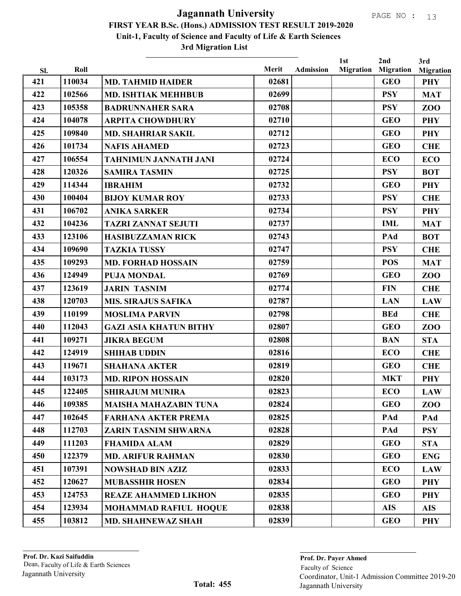3rd Migration List

| Sl. | Roll   |                               | Merit | <b>Admission</b> | 1st<br><b>Migration</b> | 2nd<br><b>Migration</b> | 3rd<br><b>Migration</b> |
|-----|--------|-------------------------------|-------|------------------|-------------------------|-------------------------|-------------------------|
| 421 | 110034 | <b>MD. TAHMID HAIDER</b>      | 02681 |                  |                         | <b>GEO</b>              | <b>PHY</b>              |
| 422 | 102566 | <b>MD. ISHTIAK MEHHBUB</b>    | 02699 |                  |                         | <b>PSY</b>              | <b>MAT</b>              |
| 423 | 105358 | <b>BADRUNNAHER SARA</b>       | 02708 |                  |                         | <b>PSY</b>              | ZOO                     |
| 424 | 104078 | <b>ARPITA CHOWDHURY</b>       | 02710 |                  |                         | <b>GEO</b>              | <b>PHY</b>              |
| 425 | 109840 | <b>MD. SHAHRIAR SAKIL</b>     | 02712 |                  |                         | <b>GEO</b>              | <b>PHY</b>              |
| 426 | 101734 | <b>NAFIS AHAMED</b>           | 02723 |                  |                         | <b>GEO</b>              | <b>CHE</b>              |
| 427 | 106554 | <b>TAHNIMUN JANNATH JANI</b>  | 02724 |                  |                         | <b>ECO</b>              | <b>ECO</b>              |
| 428 | 120326 | <b>SAMIRA TASMIN</b>          | 02725 |                  |                         | <b>PSY</b>              | <b>BOT</b>              |
| 429 | 114344 | <b>IBRAHIM</b>                | 02732 |                  |                         | <b>GEO</b>              | <b>PHY</b>              |
| 430 | 100404 | <b>BIJOY KUMAR ROY</b>        | 02733 |                  |                         | <b>PSY</b>              | <b>CHE</b>              |
| 431 | 106702 | <b>ANIKA SARKER</b>           | 02734 |                  |                         | <b>PSY</b>              | <b>PHY</b>              |
| 432 | 104236 | <b>TAZRI ZANNAT SEJUTI</b>    | 02737 |                  |                         | <b>IML</b>              | <b>MAT</b>              |
| 433 | 123106 | <b>HASIBUZZAMAN RICK</b>      | 02743 |                  |                         | PAd                     | <b>BOT</b>              |
| 434 | 109690 | <b>TAZKIA TUSSY</b>           | 02747 |                  |                         | <b>PSY</b>              | <b>CHE</b>              |
| 435 | 109293 | <b>MD. FORHAD HOSSAIN</b>     | 02759 |                  |                         | <b>POS</b>              | <b>MAT</b>              |
| 436 | 124949 | <b>PUJA MONDAL</b>            | 02769 |                  |                         | <b>GEO</b>              | <b>ZOO</b>              |
| 437 | 123619 | <b>JARIN TASNIM</b>           | 02774 |                  |                         | <b>FIN</b>              | <b>CHE</b>              |
| 438 | 120703 | <b>MIS. SIRAJUS SAFIKA</b>    | 02787 |                  |                         | <b>LAN</b>              | <b>LAW</b>              |
| 439 | 110199 | <b>MOSLIMA PARVIN</b>         | 02798 |                  |                         | <b>BEd</b>              | <b>CHE</b>              |
| 440 | 112043 | <b>GAZI ASIA KHATUN BITHY</b> | 02807 |                  |                         | <b>GEO</b>              | ZOO                     |
| 441 | 109271 | <b>JIKRA BEGUM</b>            | 02808 |                  |                         | <b>BAN</b>              | <b>STA</b>              |
| 442 | 124919 | <b>SHIHAB UDDIN</b>           | 02816 |                  |                         | <b>ECO</b>              | <b>CHE</b>              |
| 443 | 119671 | <b>SHAHANA AKTER</b>          | 02819 |                  |                         | <b>GEO</b>              | <b>CHE</b>              |
| 444 | 103173 | <b>MD. RIPON HOSSAIN</b>      | 02820 |                  |                         | <b>MKT</b>              | <b>PHY</b>              |
| 445 | 122405 | <b>SHIRAJUM MUNIRA</b>        | 02823 |                  |                         | <b>ECO</b>              | <b>LAW</b>              |
| 446 | 109385 | <b>MAISHA MAHAZABIN TUNA</b>  | 02824 |                  |                         | <b>GEO</b>              | ZOO                     |
| 447 | 102645 | <b>FARHANA AKTER PREMA</b>    | 02825 |                  |                         | PAd                     | PAd                     |
| 448 | 112703 | <b>ZARIN TASNIM SHWARNA</b>   | 02828 |                  |                         | PAd                     | <b>PSY</b>              |
| 449 | 111203 | <b>FHAMIDA ALAM</b>           | 02829 |                  |                         | <b>GEO</b>              | <b>STA</b>              |
| 450 | 122379 | <b>MD. ARIFUR RAHMAN</b>      | 02830 |                  |                         | <b>GEO</b>              | <b>ENG</b>              |
| 451 | 107391 | <b>NOWSHAD BIN AZIZ</b>       | 02833 |                  |                         | <b>ECO</b>              | <b>LAW</b>              |
| 452 | 120627 | <b>MUBASSHIR HOSEN</b>        | 02834 |                  |                         | <b>GEO</b>              | <b>PHY</b>              |
| 453 | 124753 | <b>REAZE AHAMMED LIKHON</b>   | 02835 |                  |                         | <b>GEO</b>              | <b>PHY</b>              |
| 454 | 123934 | <b>MOHAMMAD RAFIUL HOQUE</b>  | 02838 |                  |                         | <b>AIS</b>              | <b>AIS</b>              |
| 455 | 103812 | <b>MD. SHAHNEWAZ SHAH</b>     | 02839 |                  |                         | <b>GEO</b>              | PHY                     |